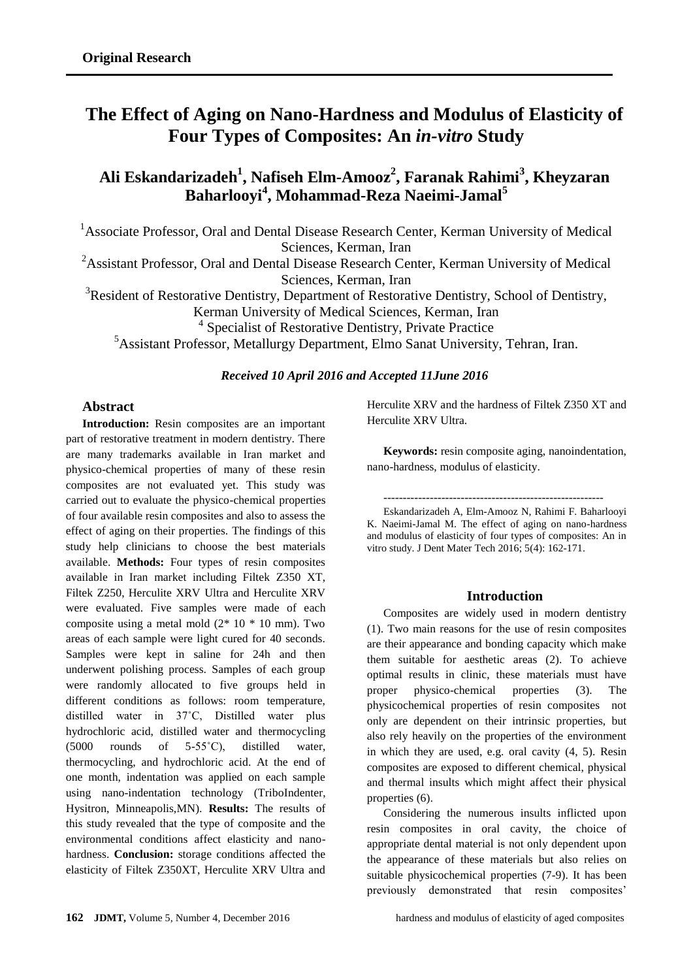# **The Effect of Aging on Nano-Hardness and Modulus of Elasticity of Four Types of Composites: An** *in-vitro* **Study**

## **Ali Eskandarizadeh 1 , Nafiseh Elm-Amooz<sup>2</sup> , Faranak Rahimi<sup>3</sup> , Kheyzaran Baharlooyi<sup>4</sup> , Mohammad-Reza Naeimi-Jamal<sup>5</sup>**

<sup>1</sup> Associate Professor, Oral and Dental Disease Research Center, Kerman University of Medical Sciences, Kerman, Iran

<sup>2</sup> Assistant Professor, Oral and Dental Disease Research Center, Kerman University of Medical Sciences, Kerman, Iran

<sup>3</sup>Resident of Restorative Dentistry, Department of Restorative Dentistry, School of Dentistry,

Kerman University of Medical Sciences, Kerman, Iran

<sup>4</sup> Specialist of Restorative Dentistry, Private Practice

<sup>5</sup>Assistant Professor, Metallurgy Department, Elmo Sanat University, Tehran, Iran.

## *Received 10 April 2016 and Accepted 11June 2016*

## **Abstract**

**Introduction:** Resin composites are an important part of restorative treatment in modern dentistry. There are many trademarks available in Iran market and physico-chemical properties of many of these resin composites are not evaluated yet. This study was carried out to evaluate the physico-chemical properties of four available resin composites and also to assess the effect of aging on their properties. The findings of this study help clinicians to choose the best materials available. **Methods:** Four types of resin composites available in Iran market including Filtek Z350 XT, Filtek Z250, Herculite XRV Ultra and Herculite XRV were evaluated. Five samples were made of each composite using a metal mold  $(2 \times 10 \times 10 \text{ mm})$ . Two areas of each sample were light cured for 40 seconds. Samples were kept in saline for 24h and then underwent polishing process. Samples of each group were randomly allocated to five groups held in different conditions as follows: room temperature, distilled water in 37˚C, Distilled water plus hydrochloric acid, distilled water and thermocycling (5000 rounds of 5-55˚C), distilled water, thermocycling, and hydrochloric acid. At the end of one month, indentation was applied on each sample using nano-indentation technology (TriboIndenter, Hysitron, Minneapolis,MN). **Results:** The results of this study revealed that the type of composite and the environmental conditions affect elasticity and nanohardness. **Conclusion:** storage conditions affected the elasticity of Filtek Z350XT, Herculite XRV Ultra and

Herculite XRV and the hardness of Filtek Z350 XT and Herculite XRV Ultra.

**Keywords:** resin composite aging, nanoindentation, nano-hardness, modulus of elasticity.

---------------------------------------------------------

Eskandarizadeh A, Elm-Amooz N, Rahimi F. Baharlooyi K. Naeimi-Jamal M. The effect of aging on nano-hardness and modulus of elasticity of four types of composites: An in vitro study. J Dent Mater Tech 2016; 5(4): 162-171.

## **Introduction**

Composites are widely used in modern dentistry [\(1\)](#page-7-0). Two main reasons for the use of resin composites are their appearance and bonding capacity which make them suitable for aesthetic areas [\(2\)](#page-7-1). To achieve optimal results in clinic, these materials must have proper physico-chemical properties [\(3\)](#page-7-2). The physicochemical properties of resin composites not only are dependent on their intrinsic properties, but also rely heavily on the properties of the environment in which they are used, e.g. oral cavity [\(4,](#page-8-0) [5\)](#page-8-1). Resin composites are exposed to different chemical, physical and thermal insults which might affect their physical properties [\(6\)](#page-8-2).

Considering the numerous insults inflicted upon resin composites in oral cavity, the choice of appropriate dental material is not only dependent upon the appearance of these materials but also relies on suitable physicochemical properties [\(7-9\)](#page-8-3). It has been previously demonstrated that resin composites'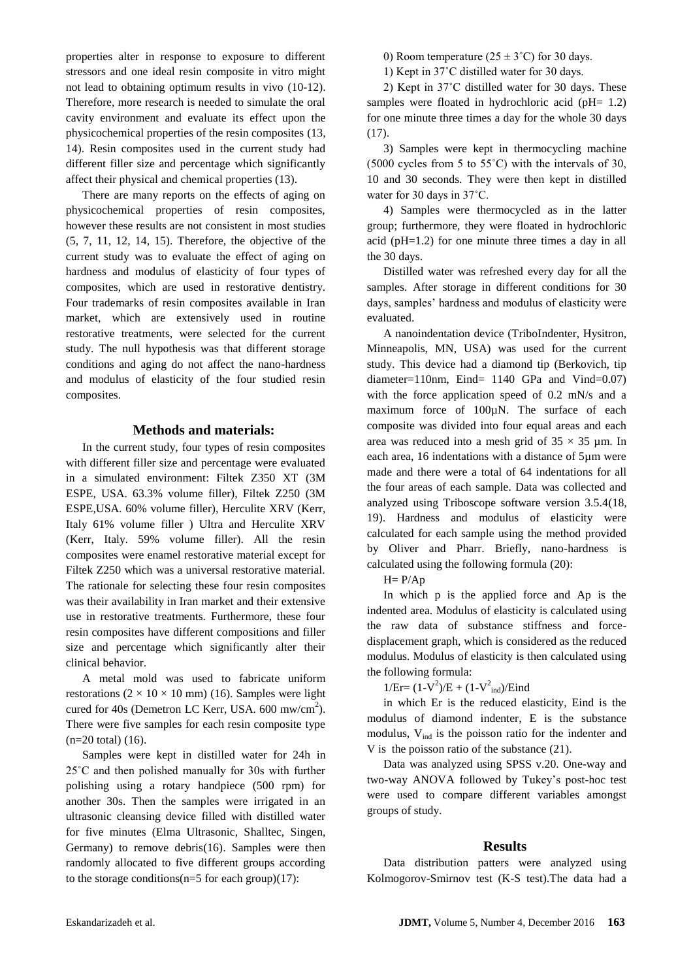properties alter in response to exposure to different stressors and one ideal resin composite in vitro might not lead to obtaining optimum results in vivo [\(10-12\)](#page-8-4). Therefore, more research is needed to simulate the oral cavity environment and evaluate its effect upon the physicochemical properties of the resin composites [\(13,](#page-8-5)  [14\)](#page-8-6). Resin composites used in the current study had different filler size and percentage which significantly affect their physical and chemical properties (13).

There are many reports on the effects of aging on physicochemical properties of resin composites, however these results are not consistent in most studies [\(5,](#page-8-1) [7,](#page-8-3) [11,](#page-8-7) [12,](#page-8-8) [14,](#page-8-6) [15\)](#page-8-9). Therefore, the objective of the current study was to evaluate the effect of aging on hardness and modulus of elasticity of four types of composites, which are used in restorative dentistry. Four trademarks of resin composites available in Iran market, which are extensively used in routine restorative treatments, were selected for the current study. The null hypothesis was that different storage conditions and aging do not affect the nano-hardness and modulus of elasticity of the four studied resin composites.

#### **Methods and materials:**

In the current study, four types of resin composites with different filler size and percentage were evaluated in a simulated environment: Filtek Z350 XT (3M ESPE, USA. 63.3% volume filler), Filtek Z250 (3M ESPE,USA. 60% volume filler), Herculite XRV (Kerr, Italy 61% volume filler ) Ultra and Herculite XRV (Kerr, Italy. 59% volume filler). All the resin composites were enamel restorative material except for Filtek Z250 which was a universal restorative material. The rationale for selecting these four resin composites was their availability in Iran market and their extensive use in restorative treatments. Furthermore, these four resin composites have different compositions and filler size and percentage which significantly alter their clinical behavior.

A metal mold was used to fabricate uniform restorations ( $2 \times 10 \times 10$  mm) [\(16\)](#page-8-10). Samples were light cured for 40s (Demetron LC Kerr, USA. 600 mw/cm<sup>2</sup>). There were five samples for each resin composite type (n=20 total) [\(16\)](#page-8-10).

Samples were kept in distilled water for 24h in 25˚C and then polished manually for 30s with further polishing using a rotary handpiece (500 rpm) for another 30s. Then the samples were irrigated in an ultrasonic cleansing device filled with distilled water for five minutes (Elma Ultrasonic, Shalltec, Singen, Germany) to remove debris[\(16\)](#page-8-10). Samples were then randomly allocated to five different groups according to the storage conditions( $n=5$  for each group)[\(17\)](#page-8-11):

0) Room temperature ( $25 \pm 3^{\circ}$ C) for 30 days.

1) Kept in 37˚C distilled water for 30 days.

2) Kept in 37˚C distilled water for 30 days. These samples were floated in hydrochloric acid (pH= 1.2) for one minute three times a day for the whole 30 days (17).

3) Samples were kept in thermocycling machine (5000 cycles from 5 to 55˚C) with the intervals of 30, 10 and 30 seconds. They were then kept in distilled water for 30 days in 37˚C.

4) Samples were thermocycled as in the latter group; furthermore, they were floated in hydrochloric acid (pH=1.2) for one minute three times a day in all the 30 days.

Distilled water was refreshed every day for all the samples. After storage in different conditions for 30 days, samples' hardness and modulus of elasticity were evaluated.

A nanoindentation device (TriboIndenter, Hysitron, Minneapolis, MN, USA) was used for the current study. This device had a diamond tip (Berkovich, tip diameter=110nm, Eind= 1140 GPa and Vind=0.07) with the force application speed of 0.2 mN/s and a maximum force of 100 $\mu$ N. The surface of each composite was divided into four equal areas and each area was reduced into a mesh grid of  $35 \times 35$  µm. In each area, 16 indentations with a distance of 5µm were made and there were a total of 64 indentations for all the four areas of each sample. Data was collected and analyzed using Triboscope software version 3.5.4[\(18,](#page-8-12) [19\)](#page-8-13). Hardness and modulus of elasticity were calculated for each sample using the method provided by Oliver and Pharr. Briefly, nano-hardness is calculated using the following formula [\(20\)](#page-8-14):

 $H = P/Ap$ 

In which p is the applied force and Ap is the indented area. Modulus of elasticity is calculated using the raw data of substance stiffness and forcedisplacement graph, which is considered as the reduced modulus. Modulus of elasticity is then calculated using the following formula:

 $1/Er = (1-V^2)/E + (1-V^2_{ind})/E$ ind

in which Er is the reduced elasticity, Eind is the modulus of diamond indenter, E is the substance modulus,  $V_{ind}$  is the poisson ratio for the indenter and V is the poisson ratio of the substance [\(21\)](#page-9-0).

Data was analyzed using SPSS v.20. One-way and two-way ANOVA followed by Tukey's post-hoc test were used to compare different variables amongst groups of study.

#### **Results**

Data distribution patters were analyzed using Kolmogorov-Smirnov test (K-S test).The data had a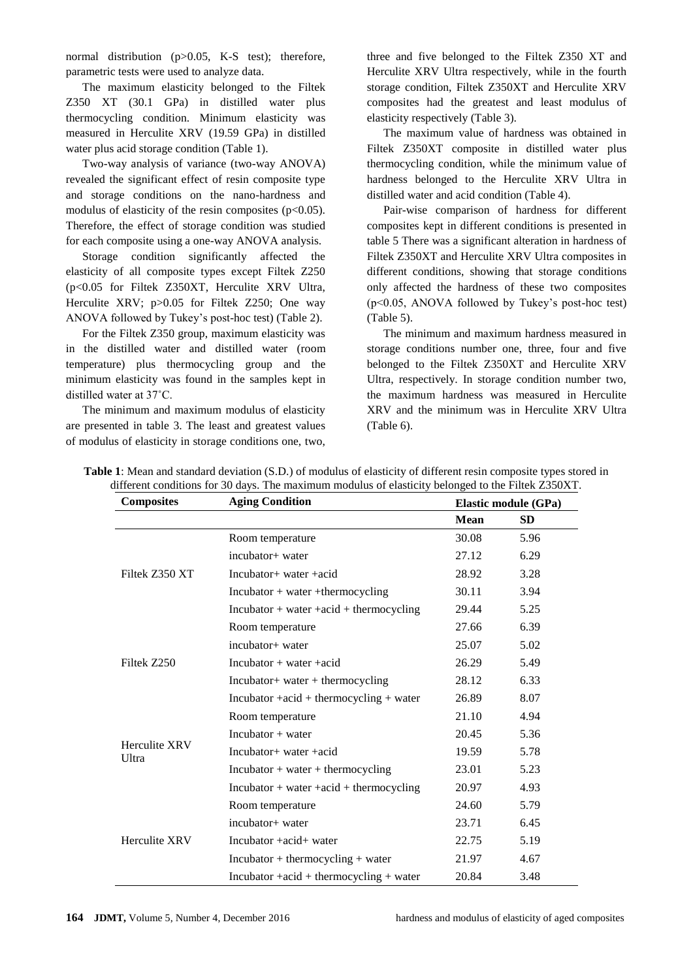normal distribution (p>0.05, K-S test); therefore, parametric tests were used to analyze data.

The maximum elasticity belonged to the Filtek Z350 XT (30.1 GPa) in distilled water plus thermocycling condition. Minimum elasticity was measured in Herculite XRV (19.59 GPa) in distilled water plus acid storage condition (Table 1).

Two-way analysis of variance (two-way ANOVA) revealed the significant effect of resin composite type and storage conditions on the nano-hardness and modulus of elasticity of the resin composites ( $p<0.05$ ). Therefore, the effect of storage condition was studied for each composite using a one-way ANOVA analysis.

Storage condition significantly affected the elasticity of all composite types except Filtek Z250 (p<0.05 for Filtek Z350XT, Herculite XRV Ultra, Herculite XRV; p>0.05 for Filtek Z250; One way ANOVA followed by Tukey's post-hoc test) (Table 2).

For the Filtek Z350 group, maximum elasticity was in the distilled water and distilled water (room temperature) plus thermocycling group and the minimum elasticity was found in the samples kept in distilled water at 37˚C.

The minimum and maximum modulus of elasticity are presented in table 3. The least and greatest values of modulus of elasticity in storage conditions one, two,

three and five belonged to the Filtek Z350 XT and Herculite XRV Ultra respectively, while in the fourth storage condition, Filtek Z350XT and Herculite XRV composites had the greatest and least modulus of elasticity respectively (Table 3).

The maximum value of hardness was obtained in Filtek Z350XT composite in distilled water plus thermocycling condition, while the minimum value of hardness belonged to the Herculite XRV Ultra in distilled water and acid condition (Table 4).

Pair-wise comparison of hardness for different composites kept in different conditions is presented in table 5 There was a significant alteration in hardness of Filtek Z350XT and Herculite XRV Ultra composites in different conditions, showing that storage conditions only affected the hardness of these two composites (p<0.05, ANOVA followed by Tukey's post-hoc test) (Table 5).

The minimum and maximum hardness measured in storage conditions number one, three, four and five belonged to the Filtek Z350XT and Herculite XRV Ultra, respectively. In storage condition number two, the maximum hardness was measured in Herculite XRV and the minimum was in Herculite XRV Ultra (Table 6).

| <b>Composites</b>             | <b>Aging Condition</b>                                                  | <b>Elastic module (GPa)</b> |           |
|-------------------------------|-------------------------------------------------------------------------|-----------------------------|-----------|
|                               |                                                                         | <b>Mean</b>                 | <b>SD</b> |
|                               | Room temperature                                                        | 30.08                       | 5.96      |
| Filtek Z350 XT                | incubator+ water                                                        | 27.12                       | 6.29      |
|                               | Incubator+ water +acid                                                  | 28.92                       | 3.28      |
|                               | $In \text{cubator} + \text{water} + \text{thermocycling}$               | 30.11                       | 3.94      |
|                               | $In \text{cubator} + \text{water} + \text{acid} + \text{thermocycling}$ | 29.44                       | 5.25      |
|                               | Room temperature                                                        | 27.66                       | 6.39      |
|                               | incubator+ water                                                        | 25.07                       | 5.02      |
| Filtek Z250                   | Incubator $+$ water $+$ acid                                            | 26.29                       | 5.49      |
|                               | Incubator+ water + thermocycling                                        | 28.12                       | 6.33      |
|                               | $In \text{cubator} + \text{acid} + \text{thermocycling} + \text{water}$ | 26.89                       | 8.07      |
|                               | Room temperature                                                        | 21.10                       | 4.94      |
|                               | $Inculator + water$                                                     | 20.45                       | 5.36      |
| <b>Herculite XRV</b><br>Ultra | Incubator + water + acid                                                | 19.59                       | 5.78      |
|                               | $In \text{cubator} + \text{water} + \text{thermocycling}$               | 23.01                       | 5.23      |
|                               | $In \text{cubator} + \text{water} + \text{acid} + \text{thermocycling}$ | 20.97                       | 4.93      |
| <b>Herculite XRV</b>          | Room temperature                                                        | 24.60                       | 5.79      |
|                               | incubator+ water                                                        | 23.71                       | 6.45      |
|                               | Incubator +acid+ water                                                  | 22.75                       | 5.19      |
|                               | $In \text{cubator} + \text{thermocycling} + \text{water}$               | 21.97                       | 4.67      |
|                               | $In \text{cubator} + \text{acid} + \text{thermocycling} + \text{water}$ | 20.84                       | 3.48      |

**Table 1**: Mean and standard deviation (S.D.) of modulus of elasticity of different resin composite types stored in different conditions for 30 days. The maximum modulus of elasticity belonged to the Filtek Z350XT.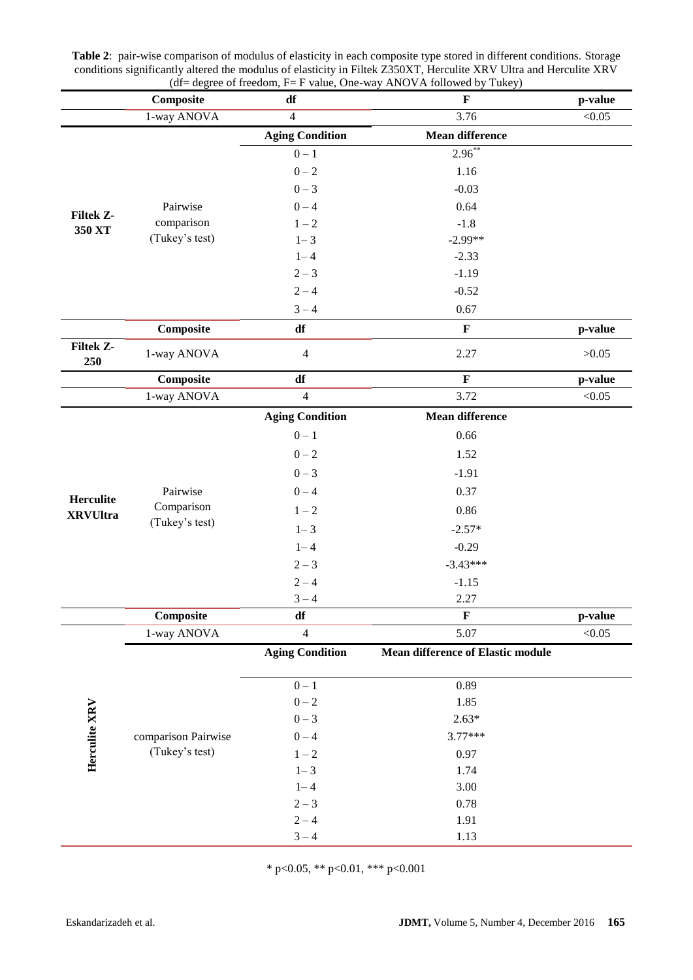|                              | Composite                                | df                     | $\mu =$ degree of freedom, $\mathbf{r} = \mathbf{r}$ value, One-way ANOVA followed by Tukey)<br>$\mathbf F$ | p-value |
|------------------------------|------------------------------------------|------------------------|-------------------------------------------------------------------------------------------------------------|---------|
|                              | 1-way ANOVA                              | $\overline{4}$         | 3.76                                                                                                        | < 0.05  |
|                              |                                          | <b>Aging Condition</b> | <b>Mean difference</b>                                                                                      |         |
| <b>Filtek Z-</b><br>350 XT   |                                          | $0-1$                  | $2.96^{**}$                                                                                                 |         |
|                              |                                          | $0 - 2$                | 1.16                                                                                                        |         |
|                              |                                          | $0 - 3$                | $-0.03$                                                                                                     |         |
|                              | Pairwise                                 | $0 - 4$                | 0.64                                                                                                        |         |
|                              | comparison                               | $1 - 2$                | $-1.8$                                                                                                      |         |
|                              | (Tukey's test)                           | $1 - 3$                | $-2.99**$                                                                                                   |         |
|                              |                                          | $1 - 4$                | $-2.33$                                                                                                     |         |
|                              |                                          | $2 - 3$                | $-1.19$                                                                                                     |         |
|                              |                                          | $2 - 4$                | $-0.52$                                                                                                     |         |
|                              |                                          | $3 - 4$                | 0.67                                                                                                        |         |
|                              | Composite                                | df                     | $\mathbf F$                                                                                                 | p-value |
| <b>Filtek Z-</b><br>250      | 1-way ANOVA                              | $\overline{4}$         | 2.27                                                                                                        | >0.05   |
|                              | Composite                                | df                     | $\mathbf F$                                                                                                 | p-value |
|                              | 1-way ANOVA                              | $\overline{4}$         | 3.72                                                                                                        | < 0.05  |
|                              |                                          | <b>Aging Condition</b> | <b>Mean difference</b>                                                                                      |         |
|                              |                                          | $0 - 1$                | 0.66                                                                                                        |         |
|                              |                                          | $0 - 2$                | 1.52                                                                                                        |         |
|                              | Pairwise<br>Comparison<br>(Tukey's test) | $0 - 3$                | $-1.91$                                                                                                     |         |
|                              |                                          | $0 - 4$                | 0.37                                                                                                        |         |
| Herculite<br><b>XRVUltra</b> |                                          | $1 - 2$                | 0.86                                                                                                        |         |
|                              |                                          | $1 - 3$                | $-2.57*$                                                                                                    |         |
|                              |                                          | $1 - 4$                | $-0.29$                                                                                                     |         |
|                              |                                          | $2 - 3$                | $-3.43***$                                                                                                  |         |
|                              |                                          | $2 - 4$                | $-1.15$                                                                                                     |         |
|                              |                                          | $3 - 4$                | 2.27                                                                                                        |         |
|                              | Composite                                | df                     | $\mathbf F$                                                                                                 | p-value |
|                              | 1-way ANOVA                              | $\overline{4}$         | 5.07                                                                                                        | < 0.05  |
| Herculite XRV                |                                          | <b>Aging Condition</b> | <b>Mean difference of Elastic module</b>                                                                    |         |
|                              | comparison Pairwise<br>(Tukey's test)    | $0 - 1$                | 0.89                                                                                                        |         |
|                              |                                          | $0 - 2$                | 1.85                                                                                                        |         |
|                              |                                          | $0 - 3$                | $2.63*$                                                                                                     |         |
|                              |                                          | $0 - 4$                | $3.77***$                                                                                                   |         |
|                              |                                          | $1 - 2$                | 0.97                                                                                                        |         |
|                              |                                          | $1 - 3$                | 1.74                                                                                                        |         |
|                              |                                          | $1 - 4$                | 3.00                                                                                                        |         |
|                              |                                          | $2 - 3$                | 0.78                                                                                                        |         |
|                              |                                          | $2 - 4$                | 1.91                                                                                                        |         |
|                              |                                          | $3 - 4$                | 1.13                                                                                                        |         |

| <b>Table 2:</b> pair-wise comparison of modulus of elasticity in each composite type stored in different conditions. Storage |
|------------------------------------------------------------------------------------------------------------------------------|
| conditions significantly altered the modulus of elasticity in Filtek Z350XT, Herculite XRV Ultra and Herculite XRV           |
| $(df = degree of freedom, F = F value, One-way ANOVA followed by Tukey)$                                                     |

\* p<0.05, \*\* p<0.01, \*\*\* p<0.001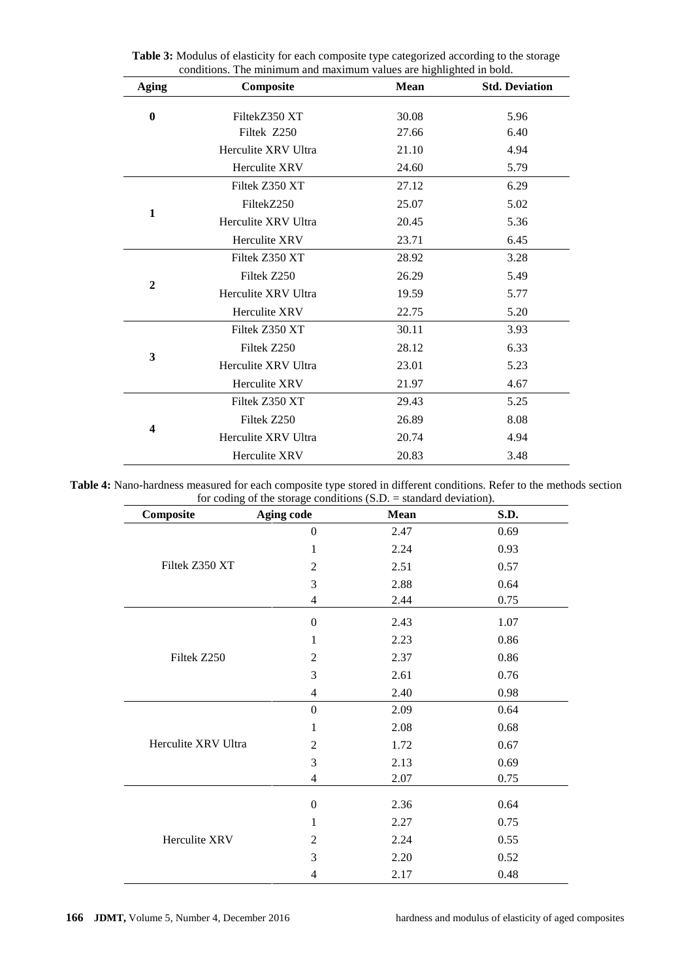| <b>Aging</b> | conditions. The minimum and maximum values are inginighted in bold.<br>Composite | Mean  | <b>Std. Deviation</b> |
|--------------|----------------------------------------------------------------------------------|-------|-----------------------|
|              |                                                                                  |       |                       |
| $\bf{0}$     | FiltekZ350 XT                                                                    | 30.08 | 5.96                  |
|              | Filtek Z250                                                                      | 27.66 | 6.40                  |
|              | Herculite XRV Ultra                                                              | 21.10 | 4.94                  |
|              | Herculite XRV                                                                    | 24.60 | 5.79                  |
|              | Filtek Z350 XT                                                                   | 27.12 | 6.29                  |
| 1            | FiltekZ250                                                                       | 25.07 | 5.02                  |
|              | Herculite XRV Ultra                                                              | 20.45 | 5.36                  |
|              | Herculite XRV                                                                    | 23.71 | 6.45                  |
|              | Filtek Z350 XT                                                                   | 28.92 | 3.28                  |
| $\mathbf{2}$ | Filtek Z250                                                                      | 26.29 | 5.49                  |
|              | Herculite XRV Ultra                                                              | 19.59 | 5.77                  |
|              | Herculite XRV                                                                    | 22.75 | 5.20                  |
|              | Filtek Z350 XT                                                                   | 30.11 | 3.93                  |
| 3            | Filtek Z250                                                                      | 28.12 | 6.33                  |
|              | Herculite XRV Ultra                                                              | 23.01 | 5.23                  |
|              | Herculite XRV                                                                    | 21.97 | 4.67                  |
| 4            | Filtek Z350 XT                                                                   | 29.43 | 5.25                  |
|              | Filtek Z250                                                                      | 26.89 | 8.08                  |
|              | Herculite XRV Ultra                                                              | 20.74 | 4.94                  |
|              | <b>Herculite XRV</b>                                                             | 20.83 | 3.48                  |

**Table 3:** Modulus of elasticity for each composite type categorized according to the storage conditions. The minimum and maximum values are highlighted in bold.

**Table 4:** Nano-hardness measured for each composite type stored in different conditions. Refer to the methods section for coding of the storage conditions (S.D. = standard deviation).

| Composite           | <b>Aging code</b>        | <b>Mean</b> | S.D. |
|---------------------|--------------------------|-------------|------|
| Filtek Z350 XT      | $\boldsymbol{0}$         | 2.47        | 0.69 |
|                     | 1                        | 2.24        | 0.93 |
|                     | 2                        | 2.51        | 0.57 |
|                     | 3                        | 2.88        | 0.64 |
|                     | $\overline{\mathcal{A}}$ | 2.44        | 0.75 |
|                     | $\boldsymbol{0}$         | 2.43        | 1.07 |
|                     | 1                        | 2.23        | 0.86 |
| Filtek Z250         | $\overline{2}$           | 2.37        | 0.86 |
|                     | 3                        | 2.61        | 0.76 |
|                     | $\overline{4}$           | 2.40        | 0.98 |
|                     | $\boldsymbol{0}$         | 2.09        | 0.64 |
|                     | 1                        | 2.08        | 0.68 |
| Herculite XRV Ultra | $\overline{2}$           | 1.72        | 0.67 |
|                     | 3                        | 2.13        | 0.69 |
|                     | $\overline{\mathcal{A}}$ | 2.07        | 0.75 |
| Herculite XRV       | $\boldsymbol{0}$         | 2.36        | 0.64 |
|                     | 1                        | 2.27        | 0.75 |
|                     | 2                        | 2.24        | 0.55 |
|                     | 3                        | 2.20        | 0.52 |
|                     | 4                        | 2.17        | 0.48 |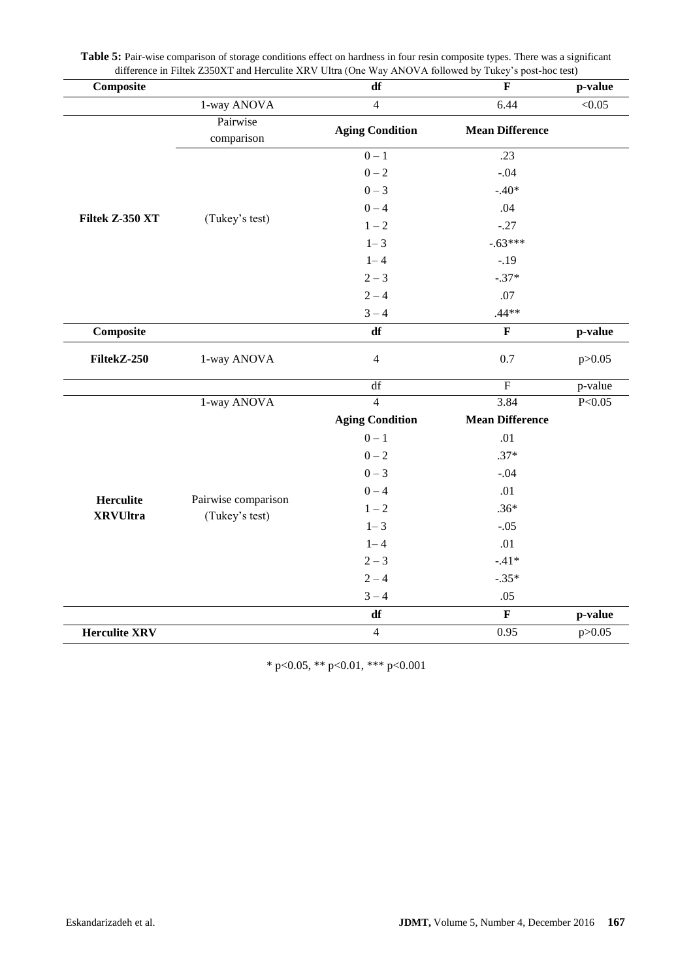| Composite            |                                       | df                     | $\mathbf{F}$           | p-value             |
|----------------------|---------------------------------------|------------------------|------------------------|---------------------|
|                      | 1-way ANOVA                           | $\overline{4}$         | 6.44                   | < 0.05              |
|                      | Pairwise<br>comparison                | <b>Aging Condition</b> | <b>Mean Difference</b> |                     |
|                      |                                       | $0 - 1$                | .23                    |                     |
|                      |                                       | $0 - 2$                | $-.04$                 |                     |
|                      |                                       | $0 - 3$                | $-.40*$                |                     |
|                      |                                       | $0 - 4$<br>.04         |                        |                     |
| Filtek Z-350 XT      | (Tukey's test)                        | $1 - 2$                | $-.27$                 |                     |
|                      |                                       | $1 - 3$                | $-.63***$              |                     |
|                      |                                       | $1 - 4$                | $-.19$                 |                     |
|                      |                                       | $2 - 3$                | $-.37*$                |                     |
|                      |                                       | $2 - 4$                | .07                    |                     |
|                      |                                       | $3 - 4$                | $.44**$                |                     |
| Composite            |                                       | df                     | $\mathbf F$            | p-value             |
| FiltekZ-250          | 1-way ANOVA                           | $\overline{4}$         | 0.7                    | p > 0.05            |
|                      |                                       | df                     | $\overline{F}$         | p-value             |
|                      | 1-way ANOVA                           | $\overline{4}$         | 3.84                   | P < 0.05            |
|                      |                                       | <b>Aging Condition</b> | <b>Mean Difference</b> |                     |
|                      |                                       | $0-1$                  | .01                    |                     |
|                      |                                       | $0 - 2$                | $.37*$                 |                     |
|                      |                                       | $0 - 3$                | $-.04$                 |                     |
|                      |                                       | $0 - 4$                | .01                    |                     |
| <b>Herculite</b>     | Pairwise comparison<br>(Tukey's test) | $1 - 2$                | $.36*$                 | p-value<br>p > 0.05 |
| <b>XRVUltra</b>      |                                       | $1 - 3$                | $-.05$                 |                     |
|                      |                                       | $1 - 4$                | .01                    |                     |
|                      |                                       | $2 - 3$                | $-.41*$                |                     |
|                      |                                       | $2 - 4$                | $-.35*$                |                     |
|                      |                                       | $3 - 4$                | .05                    |                     |
|                      |                                       | df                     | $\mathbf F$            |                     |
| <b>Herculite XRV</b> |                                       | $\overline{4}$         | 0.95                   |                     |

Table 5: Pair-wise comparison of storage conditions effect on hardness in four resin composite types. There was a significant difference in Filtek Z350XT and Herculite XRV Ultra (One Way ANOVA followed by Tukey's post-hoc test)

\* p<0.05, \*\* p<0.01, \*\*\* p<0.001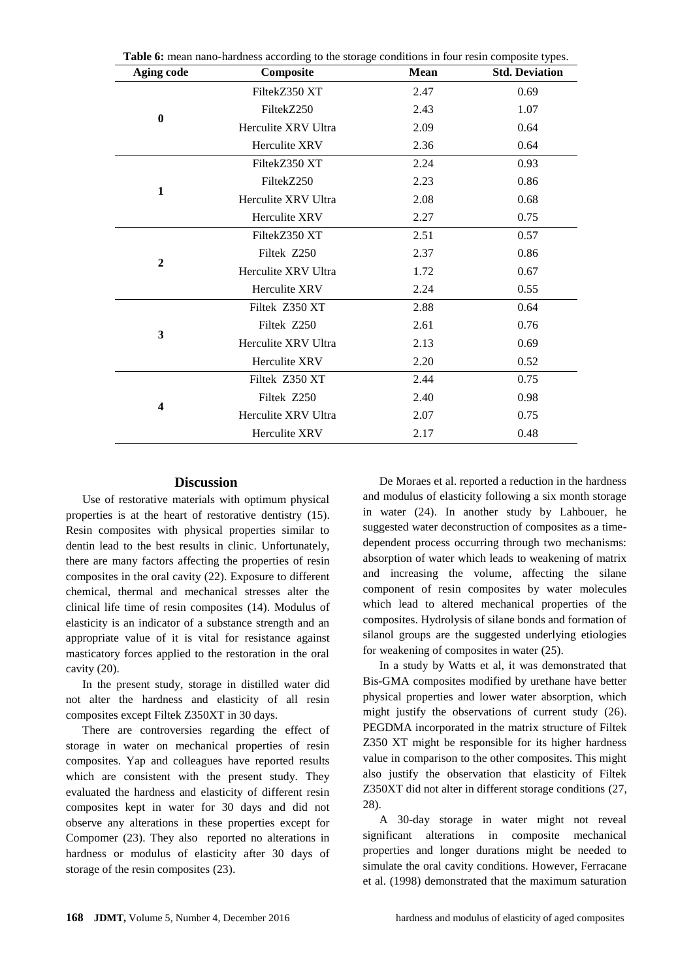| <b>Aging code</b>       | Composite           | Mean | <b>Std. Deviation</b> |
|-------------------------|---------------------|------|-----------------------|
| $\bf{0}$                | FiltekZ350 XT       | 2.47 | 0.69                  |
|                         | FiltekZ250          | 2.43 | 1.07                  |
|                         | Herculite XRV Ultra | 2.09 | 0.64                  |
|                         | Herculite XRV       | 2.36 | 0.64                  |
|                         | FiltekZ350 XT       | 2.24 | 0.93                  |
| 1                       | FiltekZ250          | 2.23 | 0.86                  |
|                         | Herculite XRV Ultra | 2.08 | 0.68                  |
|                         | Herculite XRV       | 2.27 | 0.75                  |
|                         | FiltekZ350 XT       | 2.51 | 0.57                  |
| $\overline{2}$          | Filtek Z250         | 2.37 | 0.86                  |
|                         | Herculite XRV Ultra | 1.72 | 0.67                  |
|                         | Herculite XRV       | 2.24 | 0.55                  |
|                         | Filtek Z350 XT      | 2.88 | 0.64                  |
| 3                       | Filtek Z250         | 2.61 | 0.76                  |
|                         | Herculite XRV Ultra | 2.13 | 0.69                  |
|                         | Herculite XRV       | 2.20 | 0.52                  |
| $\overline{\mathbf{4}}$ | Filtek Z350 XT      | 2.44 | 0.75                  |
|                         | Filtek Z250         | 2.40 | 0.98                  |
|                         | Herculite XRV Ultra | 2.07 | 0.75                  |
|                         | Herculite XRV       | 2.17 | 0.48                  |

**Table 6:** mean nano-hardness according to the storage conditions in four resin composite types.

#### **Discussion**

Use of restorative materials with optimum physical properties is at the heart of restorative dentistry [\(15\)](#page-8-9). Resin composites with physical properties similar to dentin lead to the best results in clinic. Unfortunately, there are many factors affecting the properties of resin composites in the oral cavity [\(22\)](#page-9-1). Exposure to different chemical, thermal and mechanical stresses alter the clinical life time of resin composites [\(14\)](#page-8-6). Modulus of elasticity is an indicator of a substance strength and an appropriate value of it is vital for resistance against masticatory forces applied to the restoration in the oral cavity [\(20\)](#page-8-14).

In the present study, storage in distilled water did not alter the hardness and elasticity of all resin composites except Filtek Z350XT in 30 days.

There are controversies regarding the effect of storage in water on mechanical properties of resin composites. Yap and colleagues have reported results which are consistent with the present study. They evaluated the hardness and elasticity of different resin composites kept in water for 30 days and did not observe any alterations in these properties except for Compomer [\(23\)](#page-9-2). They also reported no alterations in hardness or modulus of elasticity after 30 days of storage of the resin composites [\(23\)](#page-9-2).

De Moraes et al. reported a reduction in the hardness and modulus of elasticity following a six month storage in water [\(24\)](#page-9-3). In another study by Lahbouer, he suggested water deconstruction of composites as a timedependent process occurring through two mechanisms: absorption of water which leads to weakening of matrix and increasing the volume, affecting the silane component of resin composites by water molecules which lead to altered mechanical properties of the composites. Hydrolysis of silane bonds and formation of silanol groups are the suggested underlying etiologies for weakening of composites in water [\(25\)](#page-9-4).

In a study by Watts et al, it was demonstrated that Bis-GMA composites modified by urethane have better physical properties and lower water absorption, which might justify the observations of current study [\(26\)](#page-9-5). PEGDMA incorporated in the matrix structure of Filtek Z350 XT might be responsible for its higher hardness value in comparison to the other composites. This might also justify the observation that elasticity of Filtek Z350XT did not alter in different storage conditions [\(27,](#page-9-6) [28\)](#page-9-7).

A 30-day storage in water might not reveal significant alterations in composite mechanical properties and longer durations might be needed to simulate the oral cavity conditions. However, Ferracane et al. (1998) demonstrated that the maximum saturation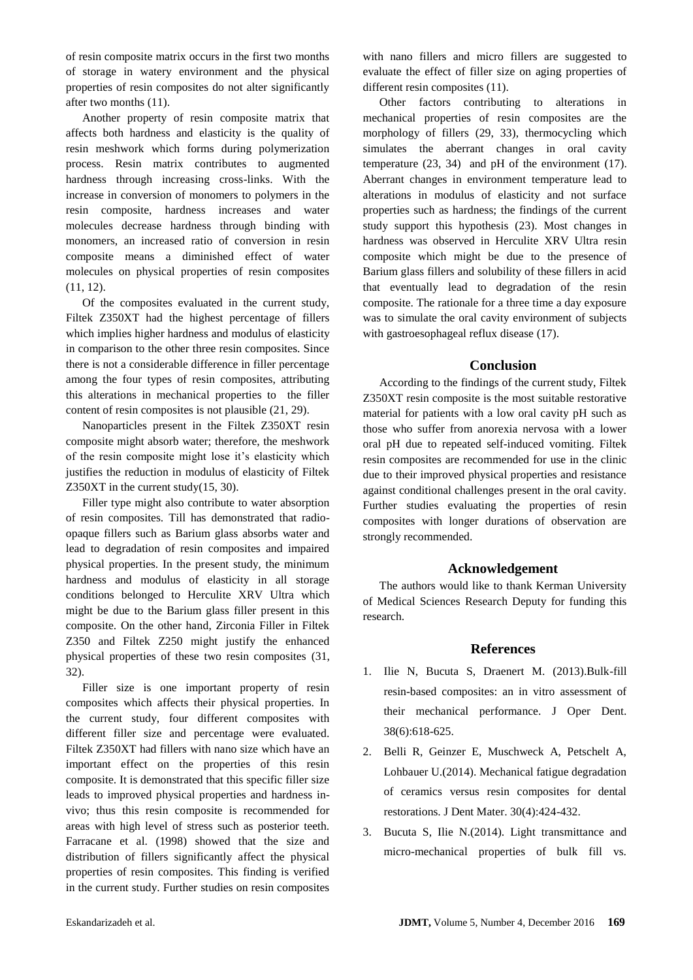of resin composite matrix occurs in the first two months of storage in watery environment and the physical properties of resin composites do not alter significantly after two months [\(11\)](#page-8-7).

Another property of resin composite matrix that affects both hardness and elasticity is the quality of resin meshwork which forms during polymerization process. Resin matrix contributes to augmented hardness through increasing cross-links. With the increase in conversion of monomers to polymers in the resin composite, hardness increases and water molecules decrease hardness through binding with monomers, an increased ratio of conversion in resin composite means a diminished effect of water molecules on physical properties of resin composites [\(11,](#page-8-7) [12\)](#page-8-8).

Of the composites evaluated in the current study, Filtek Z350XT had the highest percentage of fillers which implies higher hardness and modulus of elasticity in comparison to the other three resin composites. Since there is not a considerable difference in filler percentage among the four types of resin composites, attributing this alterations in mechanical properties to the filler content of resin composites is not plausible [\(21,](#page-9-0) [29\)](#page-9-8).

Nanoparticles present in the Filtek Z350XT resin composite might absorb water; therefore, the meshwork of the resin composite might lose it's elasticity which justifies the reduction in modulus of elasticity of Filtek Z350XT in the current study[\(15,](#page-8-9) [30\)](#page-9-9).

Filler type might also contribute to water absorption of resin composites. Till has demonstrated that radioopaque fillers such as Barium glass absorbs water and lead to degradation of resin composites and impaired physical properties. In the present study, the minimum hardness and modulus of elasticity in all storage conditions belonged to Herculite XRV Ultra which might be due to the Barium glass filler present in this composite. On the other hand, Zirconia Filler in Filtek Z350 and Filtek Z250 might justify the enhanced physical properties of these two resin composites [\(31,](#page-9-10) [32\)](#page-9-11).

Filler size is one important property of resin composites which affects their physical properties. In the current study, four different composites with different filler size and percentage were evaluated. Filtek Z350XT had fillers with nano size which have an important effect on the properties of this resin composite. It is demonstrated that this specific filler size leads to improved physical properties and hardness invivo; thus this resin composite is recommended for areas with high level of stress such as posterior teeth. Farracane et al. (1998) showed that the size and distribution of fillers significantly affect the physical properties of resin composites. This finding is verified in the current study. Further studies on resin composites

with nano fillers and micro fillers are suggested to evaluate the effect of filler size on aging properties of different resin composites (11).

Other factors contributing to alterations in mechanical properties of resin composites are the morphology of fillers [\(29,](#page-9-8) [33\)](#page-9-12), thermocycling which simulates the aberrant changes in oral cavity temperature [\(23,](#page-9-2) [34\)](#page-9-13) and pH of the environment [\(17\)](#page-8-11). Aberrant changes in environment temperature lead to alterations in modulus of elasticity and not surface properties such as hardness; the findings of the current study support this hypothesis [\(23\)](#page-9-2). Most changes in hardness was observed in Herculite XRV Ultra resin composite which might be due to the presence of Barium glass fillers and solubility of these fillers in acid that eventually lead to degradation of the resin composite. The rationale for a three time a day exposure was to simulate the oral cavity environment of subjects with gastroesophageal reflux disease [\(17\)](#page-8-11).

## **Conclusion**

According to the findings of the current study, Filtek Z350XT resin composite is the most suitable restorative material for patients with a low oral cavity pH such as those who suffer from anorexia nervosa with a lower oral pH due to repeated self-induced vomiting. Filtek resin composites are recommended for use in the clinic due to their improved physical properties and resistance against conditional challenges present in the oral cavity. Further studies evaluating the properties of resin composites with longer durations of observation are strongly recommended.

## **Acknowledgement**

The authors would like to thank Kerman University of Medical Sciences Research Deputy for funding this research.

## **References**

- <span id="page-7-0"></span>1. Ilie N, Bucuta S, Draenert M. (2013).Bulk-fill resin-based composites: an in vitro assessment of their mechanical performance. J Oper Dent. 38(6):618-625.
- <span id="page-7-1"></span>2. Belli R, Geinzer E, Muschweck A, Petschelt A, Lohbauer U.(2014). Mechanical fatigue degradation of ceramics versus resin composites for dental restorations. J Dent Mater. 30(4):424-432.
- <span id="page-7-2"></span>3. Bucuta S, Ilie N.(2014). Light transmittance and micro-mechanical properties of bulk fill vs.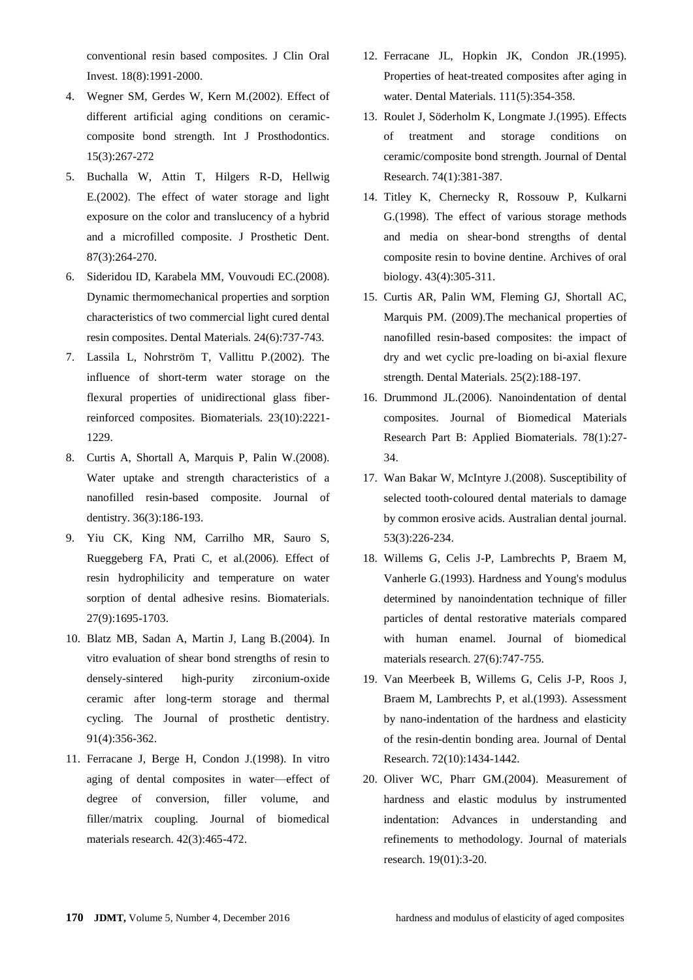conventional resin based composites. J Clin Oral Invest. 18(8):1991-2000.

- <span id="page-8-0"></span>4. Wegner SM, Gerdes W, Kern M.(2002). Effect of different artificial aging conditions on ceramiccomposite bond strength. Int J Prosthodontics. 15(3):267-272
- <span id="page-8-1"></span>5. Buchalla W, Attin T, Hilgers R-D, Hellwig E.(2002). The effect of water storage and light exposure on the color and translucency of a hybrid and a microfilled composite. J Prosthetic Dent. 87(3):264-270.
- <span id="page-8-2"></span>6. Sideridou ID, Karabela MM, Vouvoudi EC.(2008). Dynamic thermomechanical properties and sorption characteristics of two commercial light cured dental resin composites. Dental Materials. 24(6):737-743.
- <span id="page-8-3"></span>7. Lassila L, Nohrström T, Vallittu P.(2002). The influence of short-term water storage on the flexural properties of unidirectional glass fiberreinforced composites. Biomaterials. 23(10):2221- 1229.
- 8. Curtis A, Shortall A, Marquis P, Palin W.(2008). Water uptake and strength characteristics of a nanofilled resin-based composite. Journal of dentistry. 36(3):186-193.
- 9. Yiu CK, King NM, Carrilho MR, Sauro S, Rueggeberg FA, Prati C, et al.(2006). Effect of resin hydrophilicity and temperature on water sorption of dental adhesive resins. Biomaterials. 27(9):1695-1703.
- <span id="page-8-4"></span>10. Blatz MB, Sadan A, Martin J, Lang B.(2004). In vitro evaluation of shear bond strengths of resin to densely-sintered high-purity zirconium-oxide ceramic after long-term storage and thermal cycling. The Journal of prosthetic dentistry. 91(4):356-362.
- <span id="page-8-7"></span>11. Ferracane J, Berge H, Condon J.(1998). In vitro aging of dental composites in water—effect of degree of conversion, filler volume, and filler/matrix coupling. Journal of biomedical materials research. 42(3):465-472.
- <span id="page-8-8"></span>12. Ferracane JL, Hopkin JK, Condon JR.(1995). Properties of heat-treated composites after aging in water. Dental Materials. 111(5):354-358.
- <span id="page-8-5"></span>13. Roulet J, Söderholm K, Longmate J.(1995). Effects of treatment and storage conditions on ceramic/composite bond strength. Journal of Dental Research. 74(1):381-387.
- <span id="page-8-6"></span>14. Titley K, Chernecky R, Rossouw P, Kulkarni G.(1998). The effect of various storage methods and media on shear-bond strengths of dental composite resin to bovine dentine. Archives of oral biology. 43(4):305-311.
- <span id="page-8-9"></span>15. Curtis AR, Palin WM, Fleming GJ, Shortall AC, Marquis PM. (2009).The mechanical properties of nanofilled resin-based composites: the impact of dry and wet cyclic pre-loading on bi-axial flexure strength. Dental Materials. 25(2):188-197.
- <span id="page-8-10"></span>16. Drummond JL.(2006). Nanoindentation of dental composites. Journal of Biomedical Materials Research Part B: Applied Biomaterials. 78(1):27- 34.
- <span id="page-8-11"></span>17. Wan Bakar W, McIntyre J.(2008). Susceptibility of selected tooth‐coloured dental materials to damage by common erosive acids. Australian dental journal. 53(3):226-234.
- <span id="page-8-12"></span>18. Willems G, Celis J-P, Lambrechts P, Braem M, Vanherle G.(1993). Hardness and Young's modulus determined by nanoindentation technique of filler particles of dental restorative materials compared with human enamel. Journal of biomedical materials research. 27(6):747-755.
- <span id="page-8-13"></span>19. Van Meerbeek B, Willems G, Celis J-P, Roos J, Braem M, Lambrechts P, et al.(1993). Assessment by nano-indentation of the hardness and elasticity of the resin-dentin bonding area. Journal of Dental Research. 72(10):1434-1442.
- <span id="page-8-14"></span>20. Oliver WC, Pharr GM.(2004). Measurement of hardness and elastic modulus by instrumented indentation: Advances in understanding and refinements to methodology. Journal of materials research. 19(01):3-20.